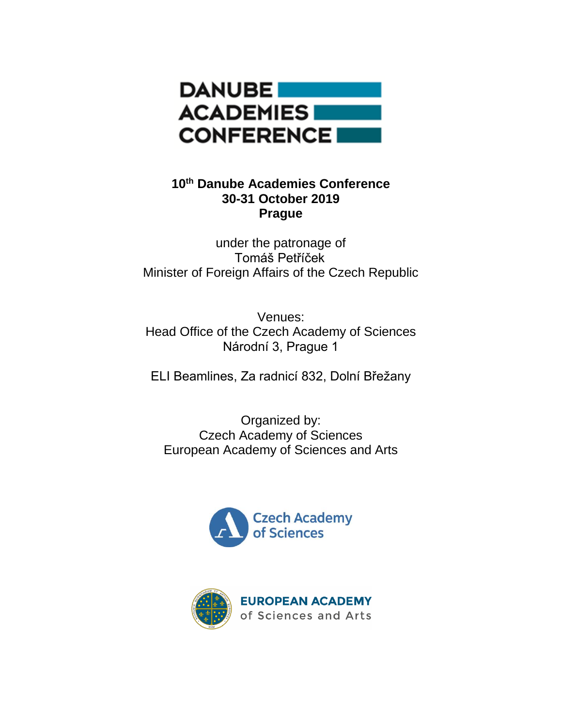

# **10th Danube Academies Conference 30-31 October 2019 Prague**

under the patronage of Tomáš Petříček Minister of Foreign Affairs of the Czech Republic

Venues: Head Office of the Czech Academy of Sciences Národní 3, Prague 1

ELI Beamlines, Za radnicí 832, Dolní Břežany

Organized by: Czech Academy of Sciences European Academy of Sciences and Arts



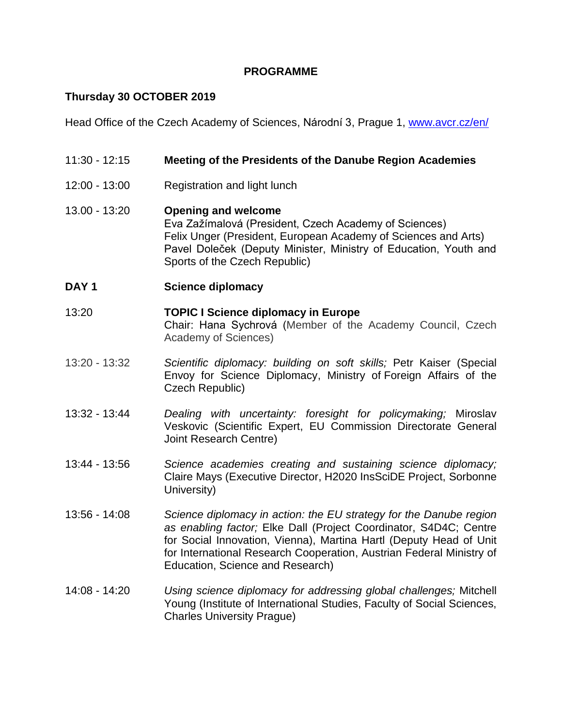### **PROGRAMME**

# **Thursday 30 OCTOBER 2019**

Head Office of the Czech Academy of Sciences, Národní 3, Prague 1, [www.avcr.cz/en/](http://www.avcr.cz/en/)

| $11:30 - 12:15$  | Meeting of the Presidents of the Danube Region Academies                                                                                                                                                                                                                                                                  |
|------------------|---------------------------------------------------------------------------------------------------------------------------------------------------------------------------------------------------------------------------------------------------------------------------------------------------------------------------|
| 12:00 - 13:00    | Registration and light lunch                                                                                                                                                                                                                                                                                              |
| 13.00 - 13:20    | <b>Opening and welcome</b><br>Eva Zažímalová (President, Czech Academy of Sciences)<br>Felix Unger (President, European Academy of Sciences and Arts)<br>Pavel Doleček (Deputy Minister, Ministry of Education, Youth and<br>Sports of the Czech Republic)                                                                |
| DAY <sub>1</sub> | <b>Science diplomacy</b>                                                                                                                                                                                                                                                                                                  |
| 13:20            | <b>TOPIC I Science diplomacy in Europe</b><br>Chair: Hana Sychrová (Member of the Academy Council, Czech<br>Academy of Sciences)                                                                                                                                                                                          |
| 13:20 - 13:32    | Scientific diplomacy: building on soft skills; Petr Kaiser (Special<br>Envoy for Science Diplomacy, Ministry of Foreign Affairs of the<br>Czech Republic)                                                                                                                                                                 |
| 13:32 - 13:44    | Dealing with uncertainty: foresight for policymaking; Miroslav<br>Veskovic (Scientific Expert, EU Commission Directorate General<br>Joint Research Centre)                                                                                                                                                                |
| 13:44 - 13:56    | Science academies creating and sustaining science diplomacy;<br>Claire Mays (Executive Director, H2020 InsSciDE Project, Sorbonne<br>University)                                                                                                                                                                          |
| $13:56 - 14:08$  | Science diplomacy in action: the EU strategy for the Danube region<br>as enabling factor; Elke Dall (Project Coordinator, S4D4C; Centre<br>for Social Innovation, Vienna), Martina Hartl (Deputy Head of Unit<br>for International Research Cooperation, Austrian Federal Ministry of<br>Education, Science and Research) |
| $14:08 - 14:20$  | Using science diplomacy for addressing global challenges; Mitchell<br>Young (Institute of International Studies, Faculty of Social Sciences,<br><b>Charles University Prague)</b>                                                                                                                                         |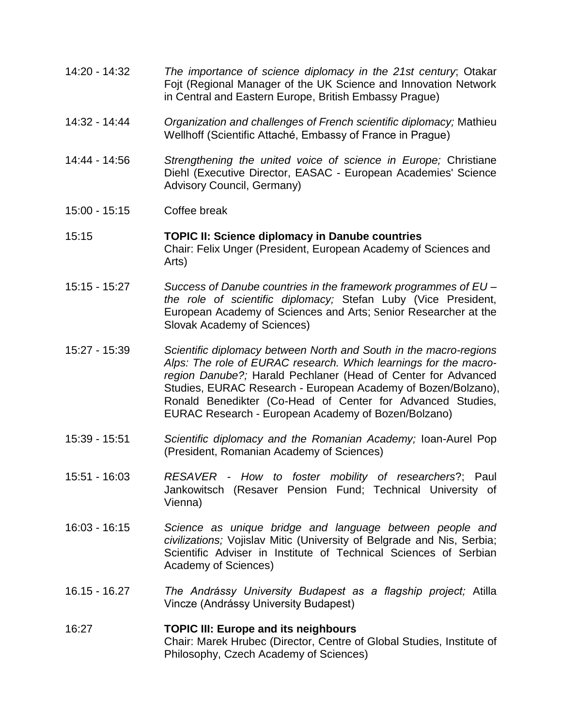- 14:20 14:32 *The importance of science diplomacy in the 21st century*; Otakar Fojt (Regional Manager of the UK Science and Innovation Network in Central and Eastern Europe, British Embassy Prague)
- 14:32 14:44 *Organization and challenges of French scientific diplomacy;* Mathieu Wellhoff (Scientific Attaché, Embassy of France in Prague)
- 14:44 14:56 *Strengthening the united voice of science in Europe;* Christiane Diehl (Executive Director, EASAC - European Academies' Science Advisory Council, Germany)
- 15:00 15:15 Coffee break
- 15:15 **TOPIC II: Science diplomacy in Danube countries** Chair: Felix Unger (President, European Academy of Sciences and Arts)
- 15:15 15:27 *Success of Danube countries in the framework programmes of EU – the role of scientific diplomacy;* Stefan Luby (Vice President, European Academy of Sciences and Arts; Senior Researcher at the Slovak Academy of Sciences)
- 15:27 15:39 *Scientific diplomacy between North and South in the macro-regions Alps: The role of EURAC research. Which learnings for the macroregion Danube?;* Harald Pechlaner (Head of Center for Advanced Studies, EURAC Research - European Academy of Bozen/Bolzano), Ronald Benedikter (Co-Head of Center for Advanced Studies, EURAC Research - European Academy of Bozen/Bolzano)
- 15:39 15:51 *Scientific diplomacy and the Romanian Academy;* Ioan-Aurel Pop (President, Romanian Academy of Sciences)
- 15:51 16:03 *RESAVER - How to foster mobility of researchers*?; Paul Jankowitsch (Resaver Pension Fund; Technical University of Vienna)
- 16:03 16:15 *Science as unique bridge and language between people and civilizations;* Vojislav Mitic (University of Belgrade and Nis, Serbia; Scientific Adviser in Institute of Technical Sciences of Serbian Academy of Sciences)
- 16.15 16.27 *The Andrássy University Budapest as a flagship project;* Atilla Vincze (Andrássy University Budapest)

#### 16:27 **TOPIC III: Europe and its neighbours** Chair: Marek Hrubec (Director, Centre of Global Studies, Institute of Philosophy, Czech Academy of Sciences)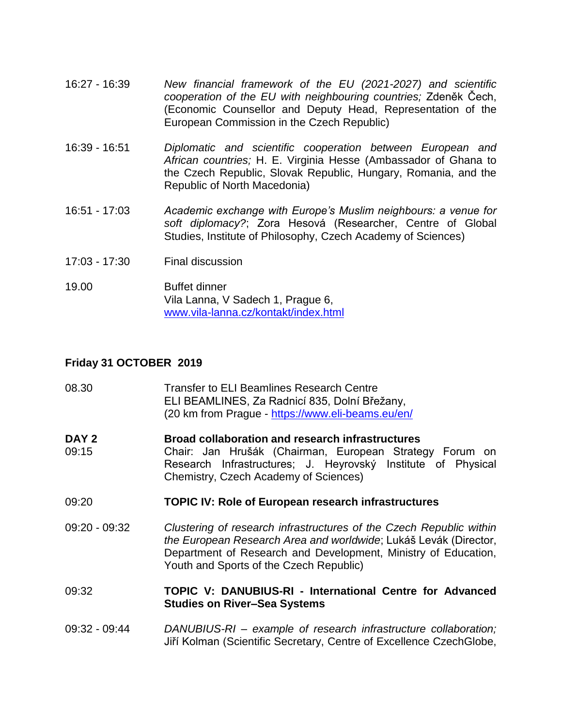- 16:27 16:39 *New financial framework of the EU (2021-2027) and scientific cooperation of the EU with neighbouring countries;* Zdeněk Čech, (Economic Counsellor and Deputy Head, Representation of the European Commission in the Czech Republic)
- 16:39 16:51 *Diplomatic and scientific cooperation between European and African countries;* H. E. Virginia Hesse (Ambassador of Ghana to the Czech Republic, Slovak Republic, Hungary, Romania, and the Republic of North Macedonia)
- 16:51 17:03 *Academic exchange with Europe's Muslim neighbours: a venue for soft diplomacy?*; Zora Hesová (Researcher, Centre of Global Studies, Institute of Philosophy, Czech Academy of Sciences)
- 17:03 17:30 Final discussion
- 19.00 Buffet dinner Vila Lanna, V Sadech 1, Prague 6, [www.vila-lanna.cz/kontakt/index.html](http://www.vila-lanna.cz/kontakt/index.html)

### **Friday 31 OCTOBER 2019**

| 08.30                     | <b>Transfer to ELI Beamlines Research Centre</b><br>ELI BEAMLINES, Za Radnicí 835, Dolní Břežany,<br>(20 km from Prague - https://www.eli-beams.eu/en/                                                                                               |
|---------------------------|------------------------------------------------------------------------------------------------------------------------------------------------------------------------------------------------------------------------------------------------------|
| DAY <sub>2</sub><br>09:15 | <b>Broad collaboration and research infrastructures</b><br>Chair: Jan Hrušák (Chairman, European Strategy Forum on<br>Research Infrastructures; J. Heyrovský Institute of Physical<br>Chemistry, Czech Academy of Sciences)                          |
| 09:20                     | <b>TOPIC IV: Role of European research infrastructures</b>                                                                                                                                                                                           |
| 09:20 - 09:32             | Clustering of research infrastructures of the Czech Republic within<br>the European Research Area and worldwide; Lukáš Levák (Director,<br>Department of Research and Development, Ministry of Education,<br>Youth and Sports of the Czech Republic) |
| 09:32                     | TOPIC V: DANUBIUS-RI - International Centre for Advanced<br><b>Studies on River-Sea Systems</b>                                                                                                                                                      |
| 09:32 - 09:44             | DANUBIUS-RI - example of research infrastructure collaboration;                                                                                                                                                                                      |

Jiří Kolman (Scientific Secretary, Centre of Excellence CzechGlobe,